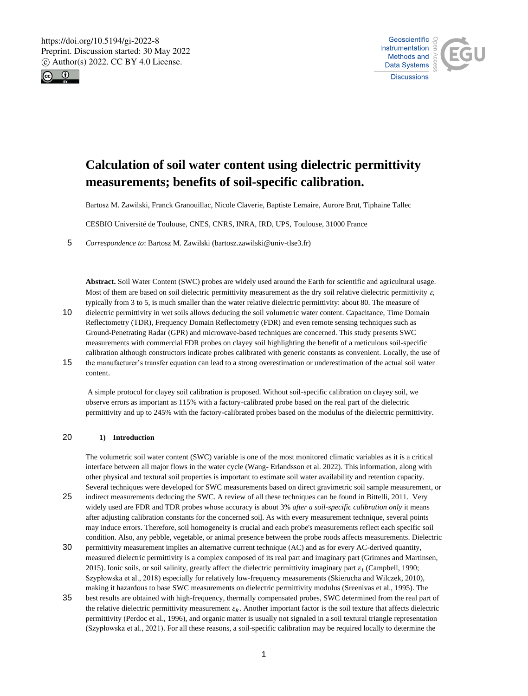



# **Calculation of soil water content using dielectric permittivity measurements; benefits of soil-specific calibration.**

Bartosz M. Zawilski, Franck Granouillac, Nicole Claverie, Baptiste Lemaire, Aurore Brut, Tiphaine Tallec

CESBIO Université de Toulouse, CNES, CNRS, INRA, IRD, UPS, Toulouse, 31000 France

5 *Correspondence to*: Bartosz M. Zawilski (bartosz.zawilski@univ-tlse3.fr)

**Abstract.** Soil Water Content (SWC) probes are widely used around the Earth for scientific and agricultural usage. Most of them are based on soil dielectric permittivity measurement as the dry soil relative dielectric permittivity  $\varepsilon$ , typically from 3 to 5, is much smaller than the water relative dielectric permittivity: about 80. The measure of

- 10 dielectric permittivity in wet soils allows deducing the soil volumetric water content. Capacitance, Time Domain Reflectometry (TDR), Frequency Domain Reflectometry (FDR) and even remote sensing techniques such as Ground-Penetrating Radar (GPR) and microwave-based techniques are concerned. This study presents SWC measurements with commercial FDR probes on clayey soil highlighting the benefit of a meticulous soil-specific calibration although constructors indicate probes calibrated with generic constants as convenient. Locally, the use of
- 15 the manufacturer's transfer equation can lead to a strong overestimation or underestimation of the actual soil water content.

A simple protocol for clayey soil calibration is proposed. Without soil-specific calibration on clayey soil, we observe errors as important as 115% with a factory-calibrated probe based on the real part of the dielectric permittivity and up to 245% with the factory-calibrated probes based on the modulus of the dielectric permittivity.

## 20 **1) Introduction**

The volumetric soil water content (SWC) variable is one of the most monitored climatic variables as it is a critical interface between all major flows in the water cycle (Wang- Erlandsson et al. 2022). This information, along with other physical and textural soil properties is important to estimate soil water availability and retention capacity. Several techniques were developed for SWC measurements based on direct gravimetric soil sample measurement, or

- 25 indirect measurements deducing the SWC. A review of all these techniques can be found in Bittelli, 2011. Very widely used are FDR and TDR probes whose accuracy is about 3% *after a soil-specific calibration only* it means after adjusting calibration constants for the concerned soil. As with every measurement technique, several points may induce errors. Therefore, soil homogeneity is crucial and each probe's measurements reflect each specific soil condition. Also, any pebble, vegetable, or animal presence between the probe roods affects measurements. Dielectric
- 30 permittivity measurement implies an alternative current technique (AC) and as for every AC-derived quantity, measured dielectric permittivity is a complex composed of its real part and imaginary part (Grimnes and Martinsen, 2015). Ionic soils, or soil salinity, greatly affect the dielectric permittivity imaginary part  $\varepsilon_I$  (Campbell, 1990; Szypłowska et al., 2018) especially for relatively low-frequency measurements (Skierucha and Wilczek, 2010), making it hazardous to base SWC measurements on dielectric permittivity modulus (Sreenivas et al., 1995). The
- 35 best results are obtained with high-frequency, thermally compensated probes, SWC determined from the real part of the relative dielectric permittivity measurement  $\varepsilon_R$ . Another important factor is the soil texture that affects dielectric permittivity (Perdoc et al., 1996), and organic matter is usually not signaled in a soil textural triangle representation (Szypłowska et al., 2021). For all these reasons, a soil-specific calibration may be required locally to determine the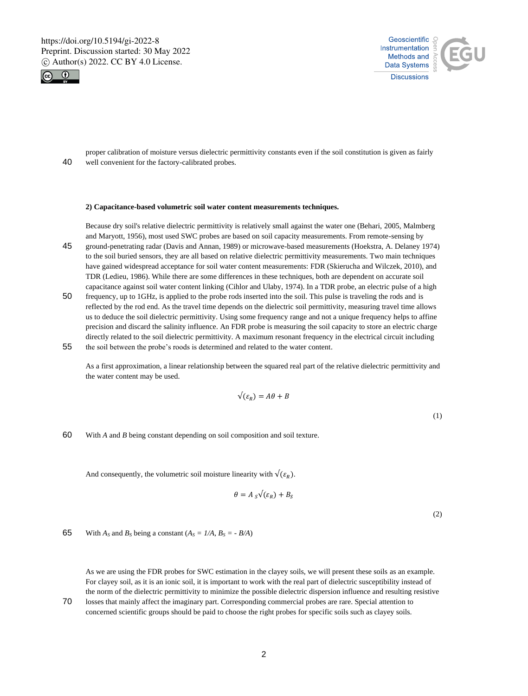



proper calibration of moisture versus dielectric permittivity constants even if the soil constitution is given as fairly 40 well convenient for the factory-calibrated probes.

#### **2) Capacitance-based volumetric soil water content measurements techniques.**

Because dry soil's relative dielectric permittivity is relatively small against the water one (Behari, 2005, Malmberg and Maryott, 1956), most used SWC probes are based on soil capacity measurements. From remote-sensing by

- 45 ground-penetrating radar (Davis and Annan, 1989) or microwave-based measurements (Hoekstra, A. Delaney 1974) to the soil buried sensors, they are all based on relative dielectric permittivity measurements. Two main techniques have gained widespread acceptance for soil water content measurements: FDR (Skierucha and Wilczek, 2010), and TDR (Ledieu, 1986). While there are some differences in these techniques, both are dependent on accurate soil capacitance against soil water content linking (Cihlor and Ulaby, 1974). In a TDR probe, an electric pulse of a high
- 50 frequency, up to 1GHz, is applied to the probe rods inserted into the soil. This pulse is traveling the rods and is reflected by the rod end. As the travel time depends on the dielectric soil permittivity, measuring travel time allows us to deduce the soil dielectric permittivity. Using some frequency range and not a unique frequency helps to affine precision and discard the salinity influence. An FDR probe is measuring the soil capacity to store an electric charge directly related to the soil dielectric permittivity. A maximum resonant frequency in the electrical circuit including 55 the soil between the probe's roods is determined and related to the water content.

As a first approximation, a linear relationship between the squared real part of the relative dielectric permittivity and the water content may be used.

$$
\sqrt{(\varepsilon_R)} = A\theta + B
$$

(1)

60 With *A* and *B* being constant depending on soil composition and soil texture.

And consequently, the volumetric soil moisture linearity with  $\sqrt{\xi_R}$ ).

$$
\theta = A_{S} \sqrt{(\varepsilon_{R}) + B_{S}}
$$

(2)

65 With  $A_s$  and  $B_s$  being a constant  $(A_s = I/A, B_s = -B/A)$ 

As we are using the FDR probes for SWC estimation in the clayey soils, we will present these soils as an example. For clayey soil, as it is an ionic soil, it is important to work with the real part of dielectric susceptibility instead of the norm of the dielectric permittivity to minimize the possible dielectric dispersion influence and resulting resistive

70 losses that mainly affect the imaginary part. Corresponding commercial probes are rare. Special attention to concerned scientific groups should be paid to choose the right probes for specific soils such as clayey soils.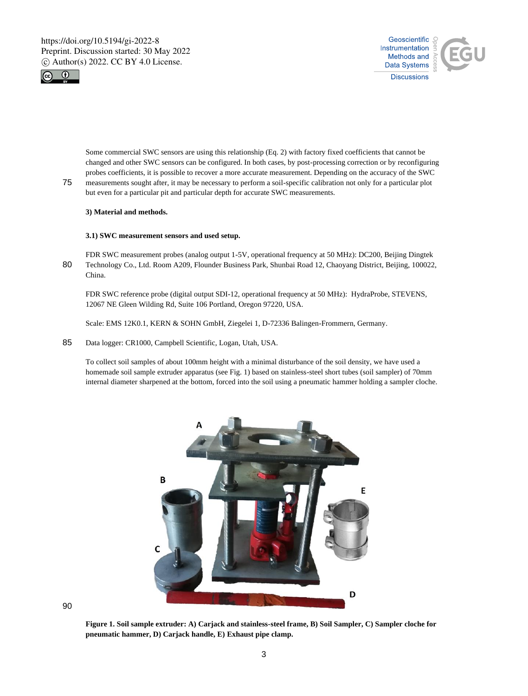



Some commercial SWC sensors are using this relationship (Eq. 2) with factory fixed coefficients that cannot be changed and other SWC sensors can be configured. In both cases, by post-processing correction or by reconfiguring probes coefficients, it is possible to recover a more accurate measurement. Depending on the accuracy of the SWC

75 measurements sought after, it may be necessary to perform a soil-specific calibration not only for a particular plot but even for a particular pit and particular depth for accurate SWC measurements.

## **3) Material and methods.**

## **3.1) SWC measurement sensors and used setup.**

FDR SWC measurement probes (analog output 1-5V, operational frequency at 50 MHz): DC200, Beijing Dingtek 80 Technology Co., Ltd. Room A209, Flounder Business Park, Shunbai Road 12, Chaoyang District, Beijing, 100022, China.

FDR SWC reference probe (digital output SDI-12, operational frequency at 50 MHz): HydraProbe, STEVENS, 12067 NE Gleen Wilding Rd, Suite 106 Portland, Oregon 97220, USA.

Scale: EMS 12K0.1, KERN & SOHN GmbH, Ziegelei 1, D-72336 Balingen-Frommern, Germany.

## 85 Data logger: CR1000, Campbell Scientific, Logan, Utah, USA.

To collect soil samples of about 100mm height with a minimal disturbance of the soil density, we have used a homemade soil sample extruder apparatus (see Fig. 1) based on stainless-steel short tubes (soil sampler) of 70mm internal diameter sharpened at the bottom, forced into the soil using a pneumatic hammer holding a sampler cloche.



90

**Figure 1. Soil sample extruder: A) Carjack and stainless-steel frame, B) Soil Sampler, C) Sampler cloche for pneumatic hammer, D) Carjack handle, E) Exhaust pipe clamp.**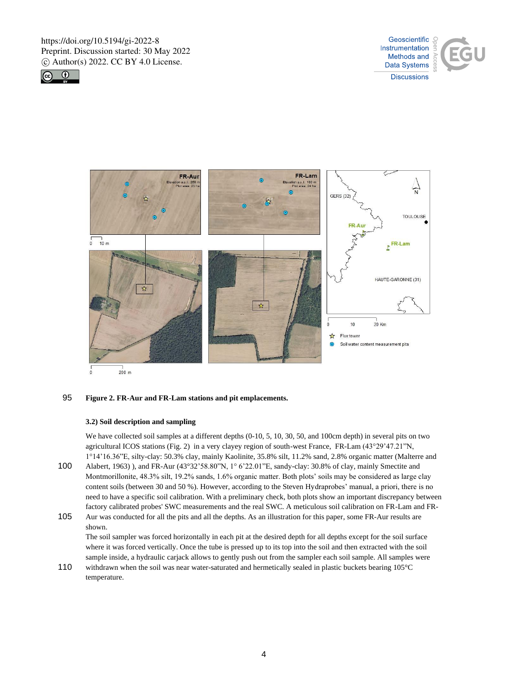





## 95 **Figure 2. FR-Aur and FR-Lam stations and pit emplacements.**

#### **3.2) Soil description and sampling**

We have collected soil samples at a different depths (0-10, 5, 10, 30, 50, and 100cm depth) in several pits on two agricultural ICOS stations (Fig. 2) in a very clayey region of south-west France, FR-Lam (43°29'47.21"N, 1°14'16.36"E, silty-clay: 50.3% clay, mainly Kaolinite, 35.8% silt, 11.2% sand, 2.8% organic matter (Malterre and

- 100 Alabert, 1963) ), and FR-Aur (43°32'58.80"N, 1° 6'22.01"E, sandy-clay: 30.8% of clay, mainly Smectite and Montmorillonite, 48.3% silt, 19.2% sands, 1.6% organic matter. Both plots' soils may be considered as large clay content soils (between 30 and 50 %). However, according to the Steven Hydraprobes' manual, a priori, there is no need to have a specific soil calibration. With a preliminary check, both plots show an important discrepancy between factory calibrated probes' SWC measurements and the real SWC. A meticulous soil calibration on FR-Lam and FR-
- 105 Aur was conducted for all the pits and all the depths. As an illustration for this paper, some FR-Aur results are shown.

The soil sampler was forced horizontally in each pit at the desired depth for all depths except for the soil surface where it was forced vertically. Once the tube is pressed up to its top into the soil and then extracted with the soil sample inside, a hydraulic carjack allows to gently push out from the sampler each soil sample. All samples were

110 withdrawn when the soil was near water-saturated and hermetically sealed in plastic buckets bearing 105°C temperature.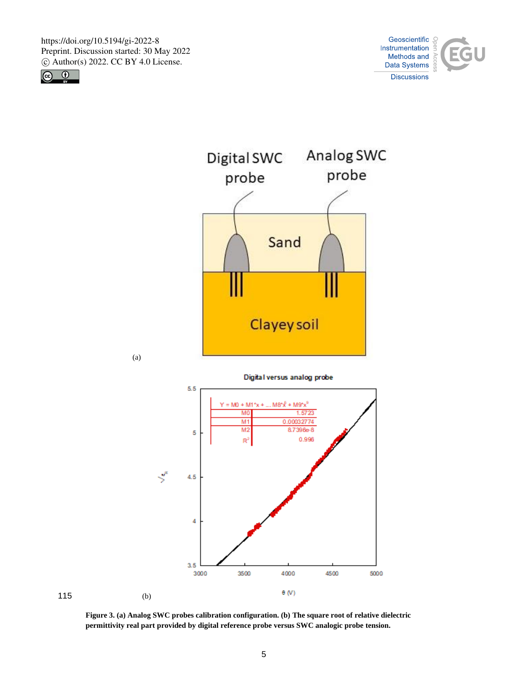









**Figure 3. (a) Analog SWC probes calibration configuration. (b) The square root of relative dielectric permittivity real part provided by digital reference probe versus SWC analogic probe tension.**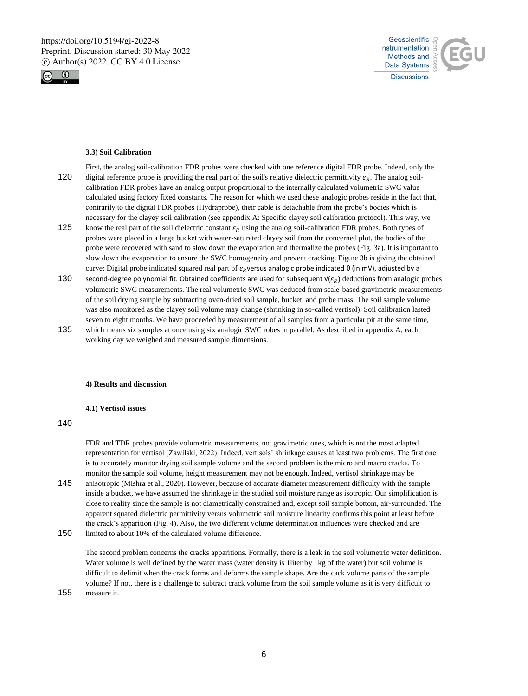



#### **3.3) Soil Calibration**

- First, the analog soil-calibration FDR probes were checked with one reference digital FDR probe. Indeed, only the 120 digital reference probe is providing the real part of the soil's relative dielectric permittivity  $\varepsilon_R$ . The analog soilcalibration FDR probes have an analog output proportional to the internally calculated volumetric SWC value calculated using factory fixed constants. The reason for which we used these analogic probes reside in the fact that, contrarily to the digital FDR probes (Hydraprobe), their cable is detachable from the probe's bodies which is necessary for the clayey soil calibration (see appendix A: Specific clayey soil calibration protocol). This way, we
- 125 know the real part of the soil dielectric constant  $\varepsilon_R$  using the analog soil-calibration FDR probes. Both types of probes were placed in a large bucket with water-saturated clayey soil from the concerned plot, the bodies of the probe were recovered with sand to slow down the evaporation and thermalize the probes (Fig. 3a). It is important to slow down the evaporation to ensure the SWC homogeneity and prevent cracking. Figure 3b is giving the obtained curve: Digital probe indicated squared real part of  $\varepsilon_R$ versus analogic probe indicated θ (in mV), adjusted by a
- 130 second-degree polynomial fit. Obtained coefficients are used for subsequent  $\mathsf{V}(\varepsilon_n)$  deductions from analogic probes volumetric SWC measurements. The real volumetric SWC was deduced from scale-based gravimetric measurements of the soil drying sample by subtracting oven-dried soil sample, bucket, and probe mass. The soil sample volume was also monitored as the clayey soil volume may change (shrinking in so-called vertisol). Soil calibration lasted seven to eight months. We have proceeded by measurement of all samples from a particular pit at the same time,
- 135 which means six samples at once using six analogic SWC robes in parallel. As described in appendix A, each working day we weighed and measured sample dimensions.

#### **4) Results and discussion**

#### **4.1) Vertisol issues**

140

FDR and TDR probes provide volumetric measurements, not gravimetric ones, which is not the most adapted representation for vertisol (Zawilski, 2022). Indeed, vertisols' shrinkage causes at least two problems. The first one is to accurately monitor drying soil sample volume and the second problem is the micro and macro cracks. To monitor the sample soil volume, height measurement may not be enough. Indeed, vertisol shrinkage may be 145 anisotropic (Mishra et al., 2020). However, because of accurate diameter measurement difficulty with the sample

inside a bucket, we have assumed the shrinkage in the studied soil moisture range as isotropic. Our simplification is close to reality since the sample is not diametrically constrained and, except soil sample bottom, air-surrounded. The apparent squared dielectric permittivity versus volumetric soil moisture linearity confirms this point at least before the crack's apparition (Fig. 4). Also, the two different volume determination influences were checked and are 150 limited to about 10% of the calculated volume difference.

The second problem concerns the cracks apparitions. Formally, there is a leak in the soil volumetric water definition. Water volume is well defined by the water mass (water density is 1liter by 1kg of the water) but soil volume is difficult to delimit when the crack forms and deforms the sample shape. Are the cack volume parts of the sample volume? If not, there is a challenge to subtract crack volume from the soil sample volume as it is very difficult to 155 measure it.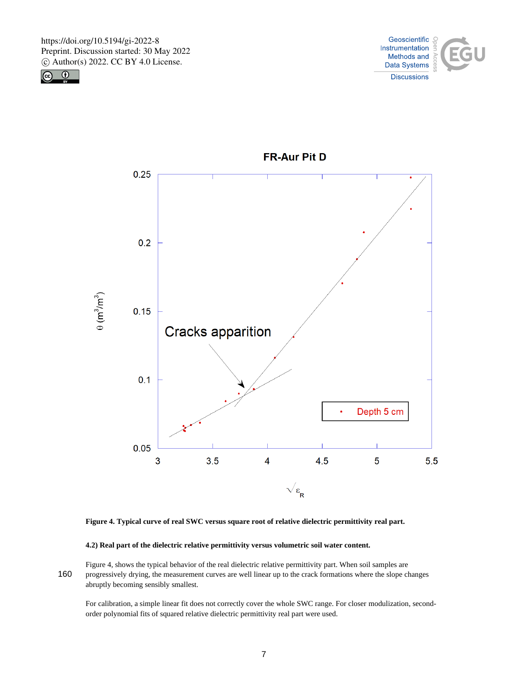





**FR-Aur Pit D** 



## **4.2) Real part of the dielectric relative permittivity versus volumetric soil water content.**

Figure 4, shows the typical behavior of the real dielectric relative permittivity part. When soil samples are 160 progressively drying, the measurement curves are well linear up to the crack formations where the slope changes abruptly becoming sensibly smallest.

For calibration, a simple linear fit does not correctly cover the whole SWC range. For closer modulization, secondorder polynomial fits of squared relative dielectric permittivity real part were used.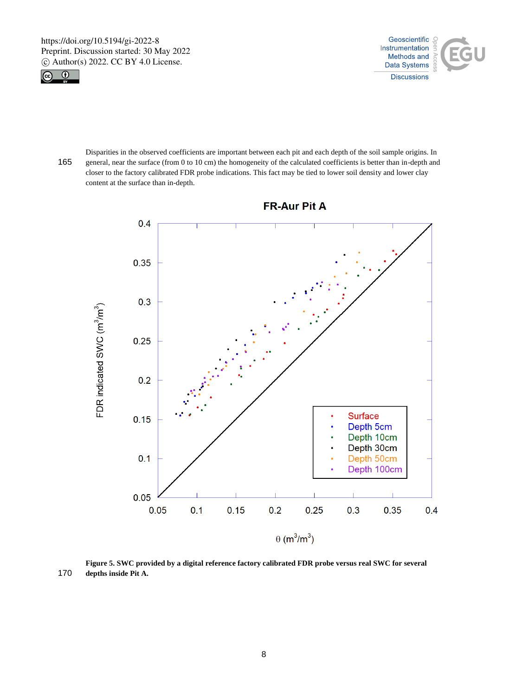



Disparities in the observed coefficients are important between each pit and each depth of the soil sample origins. In 165 general, near the surface (from 0 to 10 cm) the homogeneity of the calculated coefficients is better than in-depth and closer to the factory calibrated FDR probe indications. This fact may be tied to lower soil density and lower clay content at the surface than in-depth.



**FR-Aur Pit A** 

**Figure 5. SWC provided by a digital reference factory calibrated FDR probe versus real SWC for several**  170 **depths inside Pit A.**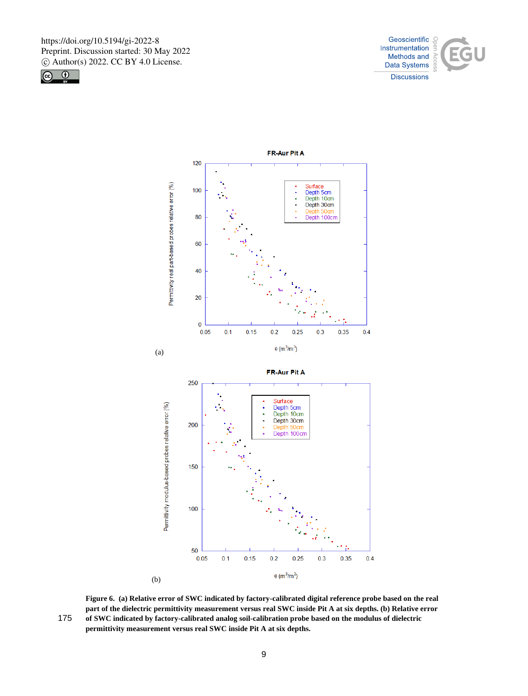





**Figure 6. (a) Relative error of SWC indicated by factory-calibrated digital reference probe based on the real part of the dielectric permittivity measurement versus real SWC inside Pit A at six depths. (b) Relative error**  175 **of SWC indicated by factory-calibrated analog soil-calibration probe based on the modulus of dielectric permittivity measurement versus real SWC inside Pit A at six depths.**

9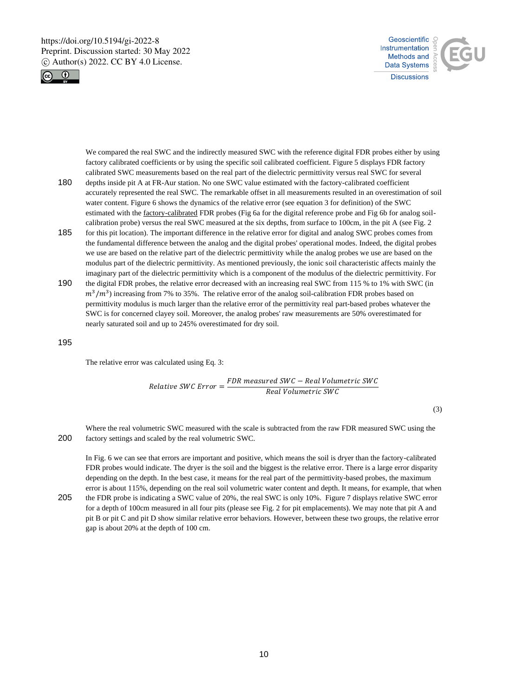



We compared the real SWC and the indirectly measured SWC with the reference digital FDR probes either by using factory calibrated coefficients or by using the specific soil calibrated coefficient. Figure 5 displays FDR factory calibrated SWC measurements based on the real part of the dielectric permittivity versus real SWC for several

- 180 depths inside pit A at FR-Aur station. No one SWC value estimated with the factory-calibrated coefficient accurately represented the real SWC. The remarkable offset in all measurements resulted in an overestimation of soil water content. Figure 6 shows the dynamics of the relative error (see equation 3 for definition) of the SWC estimated with the factory-calibrated FDR probes (Fig 6a for the digital reference probe and Fig 6b for analog soilcalibration probe) versus the real SWC measured at the six depths, from surface to 100cm, in the pit A (see Fig. 2
- 185 for this pit location). The important difference in the relative error for digital and analog SWC probes comes from the fundamental difference between the analog and the digital probes' operational modes. Indeed, the digital probes we use are based on the relative part of the dielectric permittivity while the analog probes we use are based on the modulus part of the dielectric permittivity. As mentioned previously, the ionic soil characteristic affects mainly the imaginary part of the dielectric permittivity which is a component of the modulus of the dielectric permittivity. For
- 190 the digital FDR probes, the relative error decreased with an increasing real SWC from 115 % to 1% with SWC (in  $m^3/m^3$ ) increasing from 7% to 35%. The relative error of the analog soil-calibration FDR probes based on permittivity modulus is much larger than the relative error of the permittivity real part-based probes whatever the SWC is for concerned clayey soil. Moreover, the analog probes' raw measurements are 50% overestimated for nearly saturated soil and up to 245% overestimated for dry soil.

195

The relative error was calculated using Eq. 3:

Relative SWC Error  $=$   $\frac{FDR \text{ measured SWC} - Real \text{ Volume tric SWC}}{Bcal L + b}$ Real Volumetric SWC

(3)

Where the real volumetric SWC measured with the scale is subtracted from the raw FDR measured SWC using the 200 factory settings and scaled by the real volumetric SWC.

In Fig. 6 we can see that errors are important and positive, which means the soil is dryer than the factory-calibrated FDR probes would indicate. The dryer is the soil and the biggest is the relative error. There is a large error disparity depending on the depth. In the best case, it means for the real part of the permittivity-based probes, the maximum error is about 115%, depending on the real soil volumetric water content and depth. It means, for example, that when

205 the FDR probe is indicating a SWC value of 20%, the real SWC is only 10%. Figure 7 displays relative SWC error for a depth of 100cm measured in all four pits (please see Fig. 2 for pit emplacements). We may note that pit A and pit B or pit C and pit D show similar relative error behaviors. However, between these two groups, the relative error gap is about 20% at the depth of 100 cm.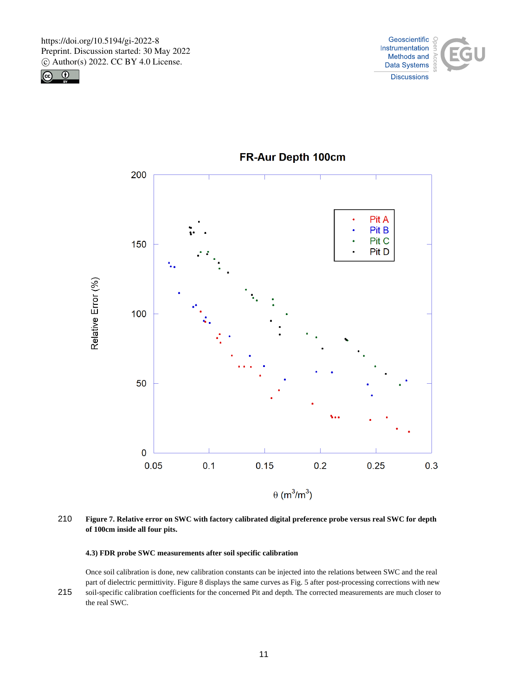





**FR-Aur Depth 100cm** 

210 **Figure 7. Relative error on SWC with factory calibrated digital preference probe versus real SWC for depth of 100cm inside all four pits.**

## **4.3) FDR probe SWC measurements after soil specific calibration**

Once soil calibration is done, new calibration constants can be injected into the relations between SWC and the real part of dielectric permittivity. Figure 8 displays the same curves as Fig. 5 after post-processing corrections with new 215 soil-specific calibration coefficients for the concerned Pit and depth. The corrected measurements are much closer to the real SWC.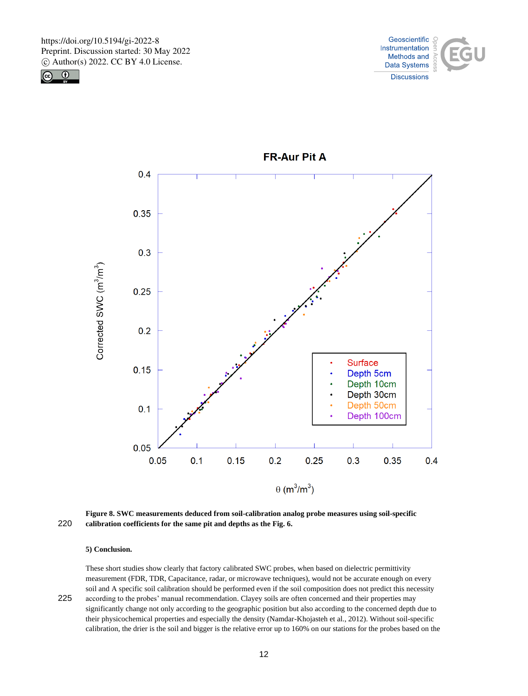





**FR-Aur Pit A** 

**Figure 8. SWC measurements deduced from soil-calibration analog probe measures using soil-specific**  220 **calibration coefficients for the same pit and depths as the Fig. 6.**

#### **5) Conclusion.**

These short studies show clearly that factory calibrated SWC probes, when based on dielectric permittivity measurement (FDR, TDR, Capacitance, radar, or microwave techniques), would not be accurate enough on every soil and A specific soil calibration should be performed even if the soil composition does not predict this necessity 225 according to the probes' manual recommendation. Clayey soils are often concerned and their properties may

significantly change not only according to the geographic position but also according to the concerned depth due to their physicochemical properties and especially the density (Namdar-Khojasteh et al., 2012). Without soil-specific calibration, the drier is the soil and bigger is the relative error up to 160% on our stations for the probes based on the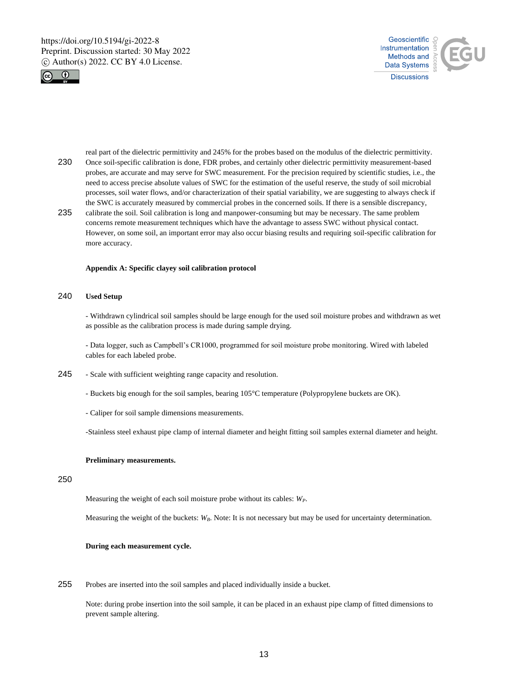



real part of the dielectric permittivity and 245% for the probes based on the modulus of the dielectric permittivity. 230 Once soil-specific calibration is done, FDR probes, and certainly other dielectric permittivity measurement-based probes, are accurate and may serve for SWC measurement. For the precision required by scientific studies, i.e., the need to access precise absolute values of SWC for the estimation of the useful reserve, the study of soil microbial processes, soil water flows, and/or characterization of their spatial variability, we are suggesting to always check if the SWC is accurately measured by commercial probes in the concerned soils. If there is a sensible discrepancy,

235 calibrate the soil. Soil calibration is long and manpower-consuming but may be necessary. The same problem concerns remote measurement techniques which have the advantage to assess SWC without physical contact. However, on some soil, an important error may also occur biasing results and requiring soil-specific calibration for more accuracy.

#### **Appendix A: Specific clayey soil calibration protocol**

## 240 **Used Setup**

- Withdrawn cylindrical soil samples should be large enough for the used soil moisture probes and withdrawn as wet as possible as the calibration process is made during sample drying.

- Data logger, such as Campbell's CR1000, programmed for soil moisture probe monitoring. Wired with labeled cables for each labeled probe.

- 245 Scale with sufficient weighting range capacity and resolution.
	- Buckets big enough for the soil samples, bearing 105°C temperature (Polypropylene buckets are OK).
	- Caliper for soil sample dimensions measurements.

-Stainless steel exhaust pipe clamp of internal diameter and height fitting soil samples external diameter and height.

## **Preliminary measurements.**

## 250

Measuring the weight of each soil moisture probe without its cables: *WP*.

Measuring the weight of the buckets: *W<sub>B</sub>*. Note: It is not necessary but may be used for uncertainty determination.

#### **During each measurement cycle.**

255 Probes are inserted into the soil samples and placed individually inside a bucket.

Note: during probe insertion into the soil sample, it can be placed in an exhaust pipe clamp of fitted dimensions to prevent sample altering.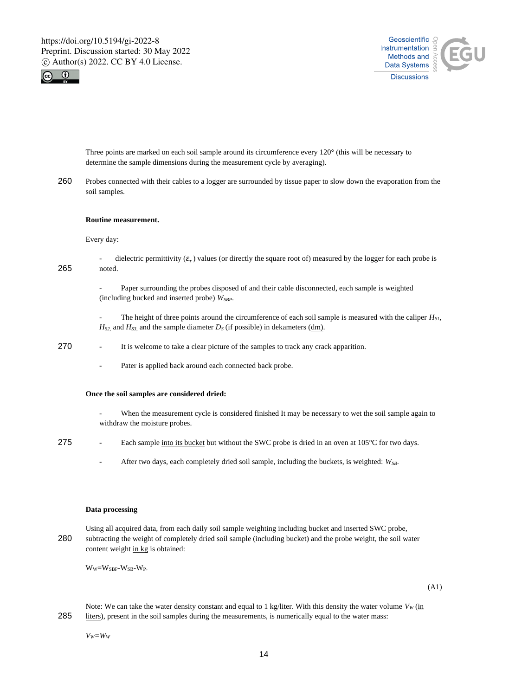



Three points are marked on each soil sample around its circumference every 120° (this will be necessary to determine the sample dimensions during the measurement cycle by averaging).

260 Probes connected with their cables to a logger are surrounded by tissue paper to slow down the evaporation from the soil samples.

#### **Routine measurement.**

Every day:

- dielectric permittivity  $(\varepsilon_r)$  values (or directly the square root of) measured by the logger for each probe is 265 noted.

> Paper surrounding the probes disposed of and their cable disconnected, each sample is weighted (including bucked and inserted probe) *WSBP*.

- The height of three points around the circumference of each soil sample is measured with the caliper *HS1,*  $H_{S2}$  and  $H_{S3}$  and the sample diameter  $D_S$  (if possible) in dekameters (dm).

- 270 It is welcome to take a clear picture of the samples to track any crack apparition.
	- Pater is applied back around each connected back probe.

#### **Once the soil samples are considered dried:**

- When the measurement cycle is considered finished It may be necessary to wet the soil sample again to withdraw the moisture probes.
- 275 Each sample into its bucket but without the SWC probe is dried in an oven at  $105^{\circ}$ C for two days.
	- After two days, each completely dried soil sample, including the buckets, is weighted: *WSB*.

#### **Data processing**

Using all acquired data, from each daily soil sample weighting including bucket and inserted SWC probe, 280 subtracting the weight of completely dried soil sample (including bucket) and the probe weight, the soil water content weight in kg is obtained:

 $W_W=W_{SBP}-W_{SB}-W_P$ .

(A1)

Note: We can take the water density constant and equal to 1 kg/liter. With this density the water volume  $V_W$  (in 285 liters), present in the soil samples during the measurements, is numerically equal to the water mass:

*VW=W<sup>W</sup>*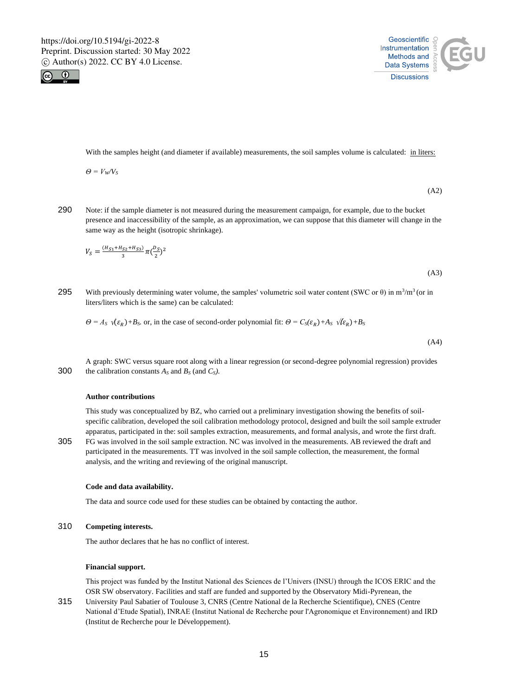



With the samples height (and diameter if available) measurements, the soil samples volume is calculated: in liters:

 $\Theta = V_W/V_S$ 

290 Note: if the sample diameter is not measured during the measurement campaign, for example, due to the bucket presence and inaccessibility of the sample, as an approximation, we can suppose that this diameter will change in the same way as the height (isotropic shrinkage).

$$
V_S = \frac{(H_{S1} + H_{S2} + H_{S3})}{3} \pi \left(\frac{D_S}{2}\right)^2
$$

(A3)

(A2)

295 With previously determining water volume, the samples' volumetric soil water content (SWC or  $\theta$ ) in m<sup>3</sup>/m<sup>3</sup> (or in liters/liters which is the same) can be calculated:

 $\Theta = A_S \sqrt{\epsilon_R} + B_S$  *or, in the case of second-order polynomial fit:*  $\Theta = C_S(\epsilon_R) + A_S \sqrt{\epsilon_R} + B_S$ 

(A4)

A graph: SWC versus square root along with a linear regression (or second-degree polynomial regression) provides 300 the calibration constants *A<sup>S</sup>* and *B<sup>S</sup>* (and *CS).*

#### **Author contributions**

This study was conceptualized by BZ, who carried out a preliminary investigation showing the benefits of soilspecific calibration, developed the soil calibration methodology protocol, designed and built the soil sample extruder apparatus, participated in the: soil samples extraction, measurements, and formal analysis, and wrote the first draft. 305 FG was involved in the soil sample extraction. NC was involved in the measurements. AB reviewed the draft and participated in the measurements. TT was involved in the soil sample collection, the measurement, the formal

#### **Code and data availability.**

The data and source code used for these studies can be obtained by contacting the author.

## 310 **Competing interests.**

The author declares that he has no conflict of interest.

analysis, and the writing and reviewing of the original manuscript.

#### **Financial support.**

This project was funded by the Institut National des Sciences de l'Univers (INSU) through the ICOS ERIC and the OSR SW observatory. Facilities and staff are funded and supported by the Observatory Midi-Pyrenean, the

315 University Paul Sabatier of Toulouse 3, CNRS (Centre National de la Recherche Scientifique), CNES (Centre National d'Etude Spatial), INRAE (Institut National de Recherche pour l'Agronomique et Environnement) and IRD (Institut de Recherche pour le Développement).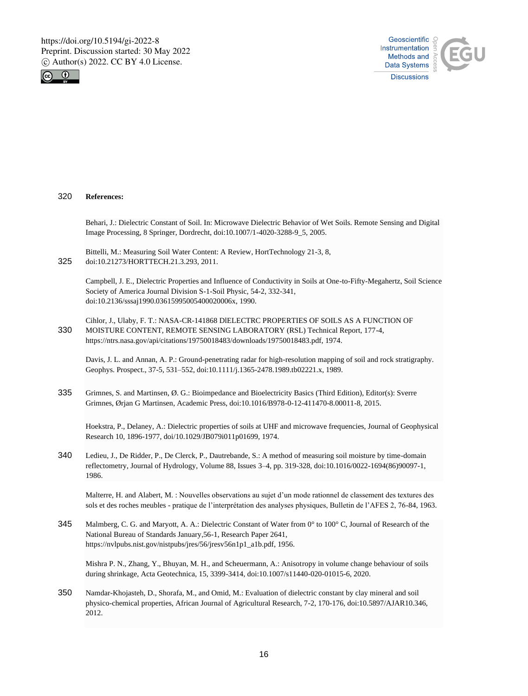



320 **References:**

Behari, J.: Dielectric Constant of Soil. In: Microwave Dielectric Behavior of Wet Soils. Remote Sensing and Digital Image Processing, 8 Springer, Dordrecht, doi:10.1007/1-4020-3288-9\_5, 2005.

Bittelli, M.: Measuring Soil Water Content: A Review, HortTechnology 21-3, 8, 325 doi:10.21273/HORTTECH.21.3.293, 2011.

Campbell, J. E., Dielectric Properties and Influence of Conductivity in Soils at One-to-Fifty-Megahertz, Soil Science Society of America Journal Division S-1-Soil Physic, 54-2, 332-341, doi:10.2136/sssaj1990.03615995005400020006x, 1990.

Cihlor, J., Ulaby, F. T.: NASA-CR-141868 DlELECTRC PROPERTIES OF SOILS AS A FUNCTION OF 330 MOISTURE CONTENT, REMOTE SENSING LABORATORY (RSL) Technical Report, 177-4, https://ntrs.nasa.gov/api/citations/19750018483/downloads/19750018483.pdf, 1974.

Davis, J. L. and Annan, A. P.: Ground-penetrating radar for high-resolution mapping of soil and rock stratigraphy. Geophys. Prospect., 37-5, 531–552, doi:10.1111/j.1365-2478.1989.tb02221.x, 1989.

335 Grimnes, S. and Martinsen, Ø. G.: Bioimpedance and Bioelectricity Basics (Third Edition), Editor(s): Sverre Grimnes, Ørjan G Martinsen, Academic Press, doi:10.1016/B978-0-12-411470-8.00011-8, 2015.

Hoekstra, P., Delaney, A.: Dielectric properties of soils at UHF and microwave frequencies, Journal of Geophysical Research 10, 1896-1977, doi/10.1029/JB079i011p01699, 1974.

340 Ledieu, J., De Ridder, P., De Clerck, P., Dautrebande, S.: A method of measuring soil moisture by time-domain reflectometry, Journal of Hydrology, Volume 88, Issues 3–4, pp. 319-328, doi:10.1016/0022-1694(86)90097-1, 1986.

Malterre, H. and Alabert, M. : Nouvelles observations au sujet d'un mode rationnel de classement des textures des sols et des roches meubles - pratique de l'interprétation des analyses physiques, Bulletin de l'AFES 2, 76-84, 1963.

345 Malmberg, C. G. and Maryott, A. A.: Dielectric Constant of Water from 0° to 100° C, Journal of Research of the National Bureau of Standards January,56-1, Research Paper 2641, https://nvlpubs.nist.gov/nistpubs/jres/56/jresv56n1p1\_a1b.pdf, 1956.

Mishra P. N., Zhang, Y., Bhuyan, M. H., and Scheuermann, A.: Anisotropy in volume change behaviour of soils during shrinkage, Acta Geotechnica, 15, 3399-3414, doi:10.1007/s11440-020-01015-6, 2020.

350 Namdar-Khojasteh, D., Shorafa, M., and Omid, M.: Evaluation of dielectric constant by clay mineral and soil physico-chemical properties, African Journal of Agricultural Research, 7-2, 170-176, doi:10.5897/AJAR10.346, 2012.